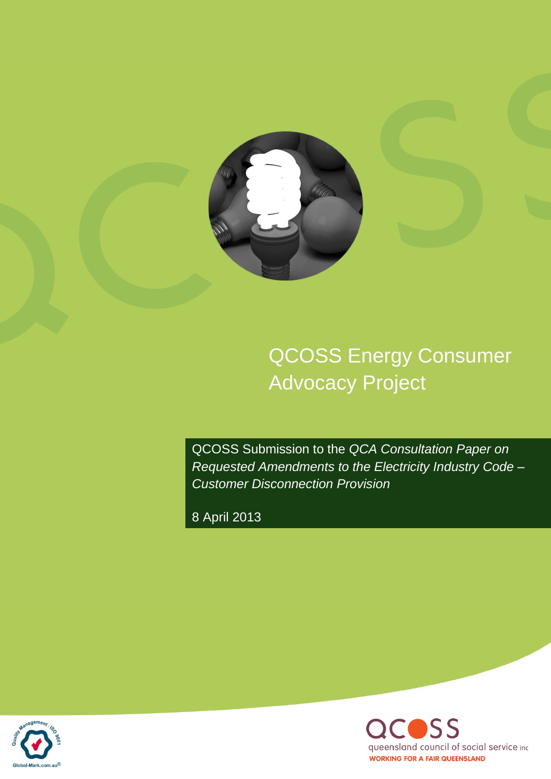

QCOSS Energy Consumer Advocacy Project

QCOSS Submission to the *QCA Consultation Paper on Requested Amendments to the Electricity Industry Code – Customer Disconnection Provision* 

8 April 2013



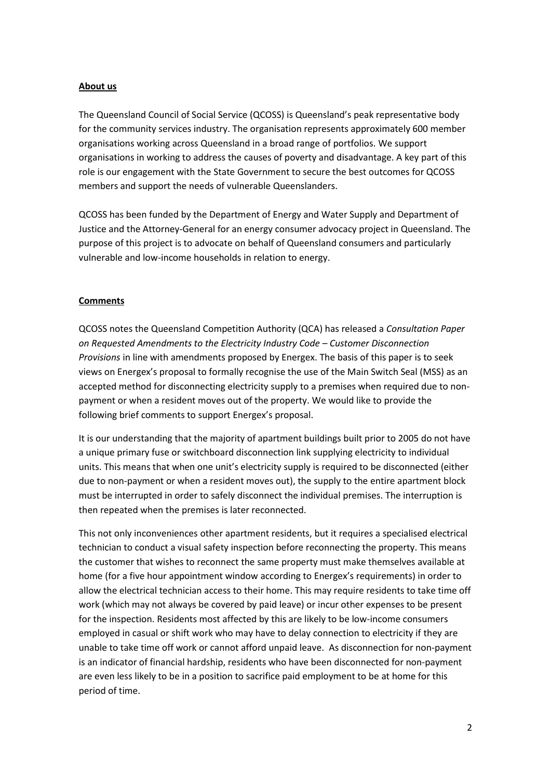## **About us**

The Queensland Council of Social Service (QCOSS) is Queensland's peak representative body for the community services industry. The organisation represents approximately 600 member organisations working across Queensland in a broad range of portfolios. We support organisations in working to address the causes of poverty and disadvantage. A key part of this role is our engagement with the State Government to secure the best outcomes for QCOSS members and support the needs of vulnerable Queenslanders.

QCOSS has been funded by the Department of Energy and Water Supply and Department of Justice and the Attorney-General for an energy consumer advocacy project in Queensland. The purpose of this project is to advocate on behalf of Queensland consumers and particularly vulnerable and low-income households in relation to energy.

## **Comments**

QCOSS notes the Queensland Competition Authority (QCA) has released a *Consultation Paper on Requested Amendments to the Electricity Industry Code – Customer Disconnection Provisions* in line with amendments proposed by Energex. The basis of this paper is to seek views on Energex's proposal to formally recognise the use of the Main Switch Seal (MSS) as an accepted method for disconnecting electricity supply to a premises when required due to nonpayment or when a resident moves out of the property. We would like to provide the following brief comments to support Energex's proposal.

It is our understanding that the majority of apartment buildings built prior to 2005 do not have a unique primary fuse or switchboard disconnection link supplying electricity to individual units. This means that when one unit's electricity supply is required to be disconnected (either due to non-payment or when a resident moves out), the supply to the entire apartment block must be interrupted in order to safely disconnect the individual premises. The interruption is then repeated when the premises is later reconnected.

This not only inconveniences other apartment residents, but it requires a specialised electrical technician to conduct a visual safety inspection before reconnecting the property. This means the customer that wishes to reconnect the same property must make themselves available at home (for a five hour appointment window according to Energex's requirements) in order to allow the electrical technician access to their home. This may require residents to take time off work (which may not always be covered by paid leave) or incur other expenses to be present for the inspection. Residents most affected by this are likely to be low-income consumers employed in casual or shift work who may have to delay connection to electricity if they are unable to take time off work or cannot afford unpaid leave. As disconnection for non-payment is an indicator of financial hardship, residents who have been disconnected for non-payment are even less likely to be in a position to sacrifice paid employment to be at home for this period of time.